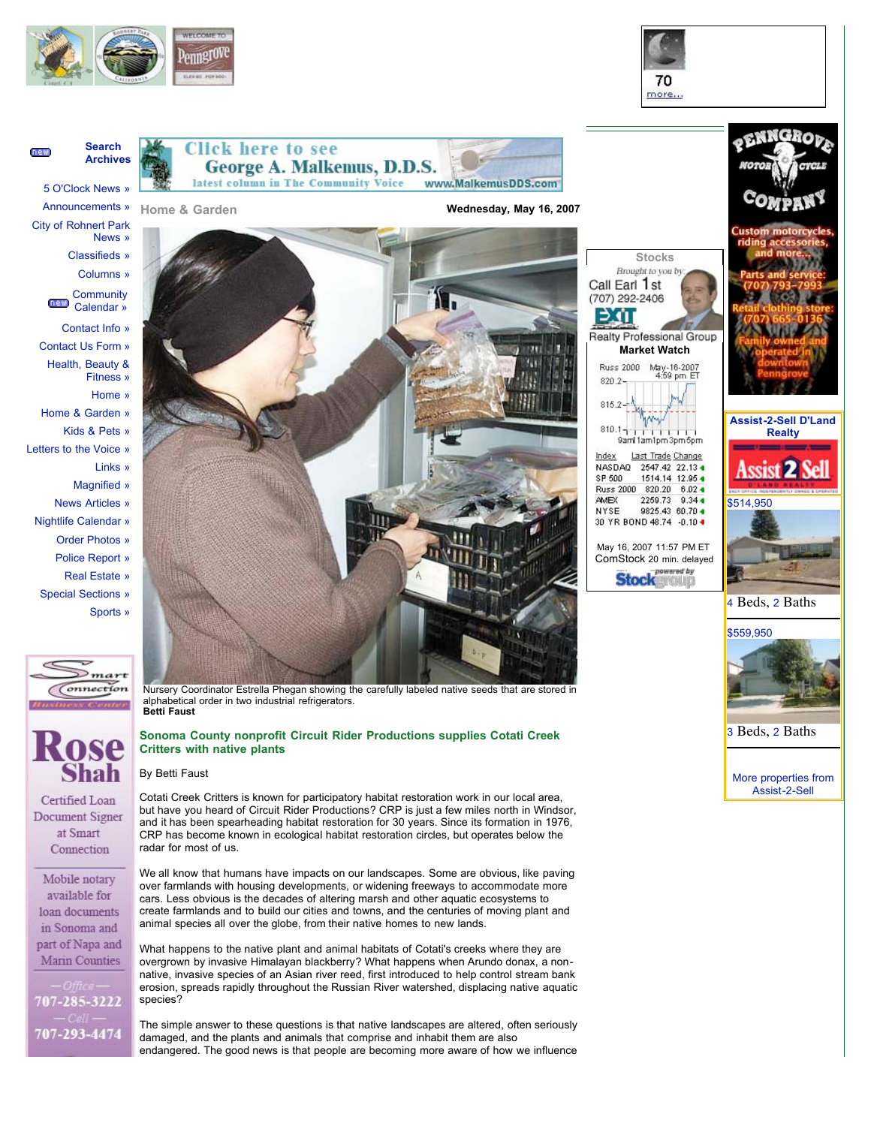



## **Search Archives**

**DAW** 

5 O'Clock News » Announcements »



**Click here to see George A. Malkemus, D.D.S.** latest column in The Community Voice

**Home & Garden**

**Wednesday, May 16, 2007**

www.MalkemusDDS.com



new) Calendar »

- Contact Info »
- Contact Us Form »
- Health, Beauty & Fitness »
	- Home »
- Home & Garden »
- Kids & Pets »
- Letters to the Voice »
	- Links »
		- Magnified »
		- News Articles »
- Nightlife Calendar »
	- Order Photos »
	- Police Report »
	- Real Estate »
- Special Sections » Sports »





Certified Loan Document Signer at Smart Connection

Mobile notary available for loan documents in Sonoma and part of Napa and Marin Counties

707-285-3222 707-293-4474



Nursery Coordinator Estrella Phegan showing the carefully labeled native seeds that are stored in alphabetical order in two industrial refrigerators. **Betti Faust**

## **Sonoma County nonprofit Circuit Rider Productions supplies Cotati Creek Critters with native plants**

## By Betti Faust

Cotati Creek Critters is known for participatory habitat restoration work in our local area, but have you heard of Circuit Rider Productions? CRP is just a few miles north in Windsor, and it has been spearheading habitat restoration for 30 years. Since its formation in 1976, CRP has become known in ecological habitat restoration circles, but operates below the radar for most of us.

We all know that humans have impacts on our landscapes. Some are obvious, like paving over farmlands with housing developments, or widening freeways to accommodate more cars. Less obvious is the decades of altering marsh and other aquatic ecosystems to create farmlands and to build our cities and towns, and the centuries of moving plant and animal species all over the globe, from their native homes to new lands.

What happens to the native plant and animal habitats of Cotati's creeks where they are overgrown by invasive Himalayan blackberry? What happens when Arundo donax, a nonnative, invasive species of an Asian river reed, first introduced to help control stream bank erosion, spreads rapidly throughout the Russian River watershed, displacing native aquatic species?

The simple answer to these questions is that native landscapes are altered, often seriously damaged, and the plants and animals that comprise and inhabit them are also endangered. The good news is that people are becoming more aware of how we influence

|                                                                                                                        | <b>MOTOR</b>                  |
|------------------------------------------------------------------------------------------------------------------------|-------------------------------|
|                                                                                                                        | Coj                           |
|                                                                                                                        | <b>Custom</b><br>ridina<br>٦d |
| <b>Stocks</b><br>Brought to you by:<br>Call Earl 1st<br>(707) 292-2406                                                 |                               |
| Realty Professional Group<br><b>Market Watch</b><br>Russ 2000<br>May-16-2007<br>4:59 pm ET<br>820.2-<br>815.2          |                               |
| $810.1 -$<br>9aml 1am1pm3pm5pm                                                                                         | Assist-2                      |
| Index<br>Last Trade Change<br><b>NASDAQ</b><br>2547.42 22.13 4<br>SP 500<br>1514.14 12.95 4<br>Russ 2000 820.20 6.02 4 | <b>EACH DRAIDE NOEM</b>       |
| <b>AMEX</b><br>2259.73 9.34 +<br>NYSE<br>9825.43 60.70 4<br>30 YR BOND 48.74 -0.10 +                                   | \$514,950                     |
| May 16, 2007 11:57 PM ET<br>ComStock 20 min. delaved                                                                   |                               |





**Assist-2-Sell D'Land Realty**

3 Beds, 2 Baths

More properties from Assist-2-Sell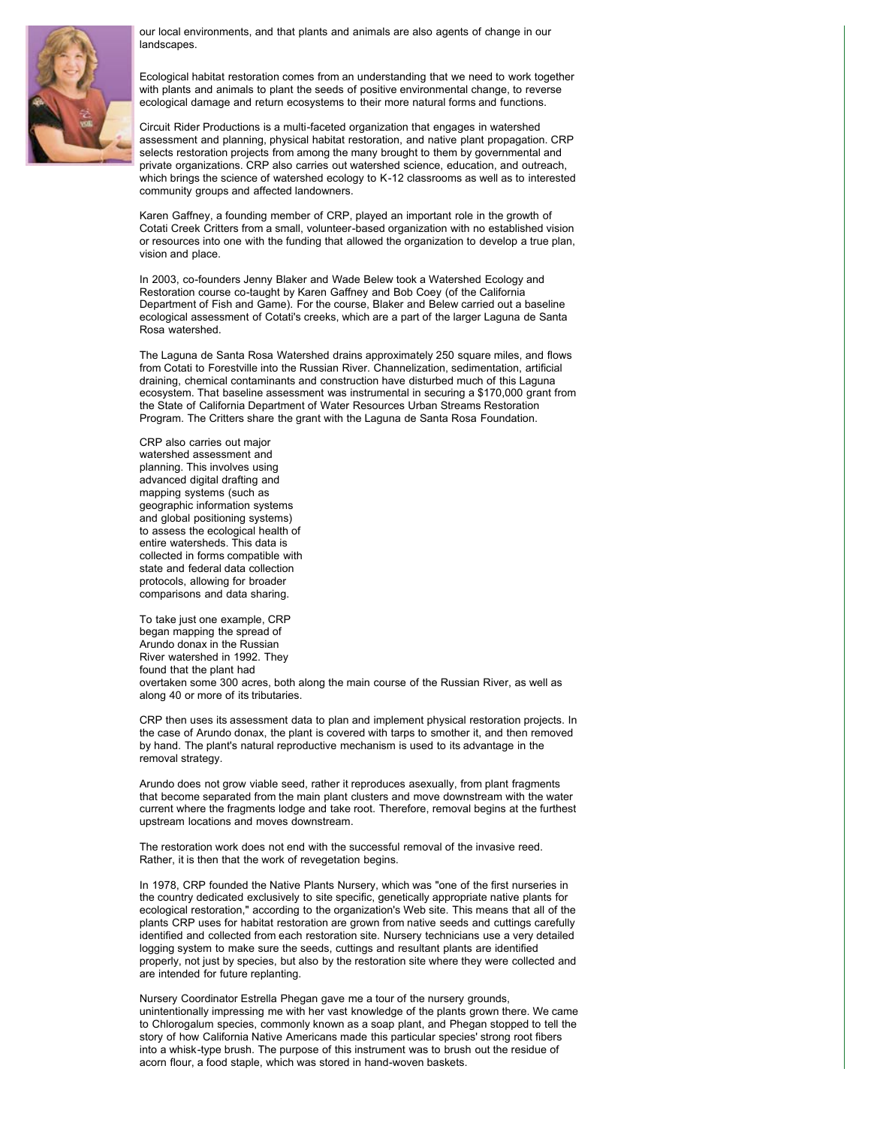

our local environments, and that plants and animals are also agents of change in our landscapes.

Ecological habitat restoration comes from an understanding that we need to work together with plants and animals to plant the seeds of positive environmental change, to reverse ecological damage and return ecosystems to their more natural forms and functions.

Circuit Rider Productions is a multi-faceted organization that engages in watershed assessment and planning, physical habitat restoration, and native plant propagation. CRP selects restoration projects from among the many brought to them by governmental and private organizations. CRP also carries out watershed science, education, and outreach, which brings the science of watershed ecology to K-12 classrooms as well as to interested community groups and affected landowners.

Karen Gaffney, a founding member of CRP, played an important role in the growth of Cotati Creek Critters from a small, volunteer-based organization with no established vision or resources into one with the funding that allowed the organization to develop a true plan, vision and place.

In 2003, co-founders Jenny Blaker and Wade Belew took a Watershed Ecology and Restoration course co-taught by Karen Gaffney and Bob Coey (of the California Department of Fish and Game). For the course, Blaker and Belew carried out a baseline ecological assessment of Cotati's creeks, which are a part of the larger Laguna de Santa Rosa watershed.

The Laguna de Santa Rosa Watershed drains approximately 250 square miles, and flows from Cotati to Forestville into the Russian River. Channelization, sedimentation, artificial draining, chemical contaminants and construction have disturbed much of this Laguna ecosystem. That baseline assessment was instrumental in securing a \$170,000 grant from the State of California Department of Water Resources Urban Streams Restoration Program. The Critters share the grant with the Laguna de Santa Rosa Foundation.

CRP also carries out major watershed assessment and planning. This involves using advanced digital drafting and mapping systems (such as geographic information systems and global positioning systems) to assess the ecological health of entire watersheds. This data is collected in forms compatible with state and federal data collection protocols, allowing for broader comparisons and data sharing.

To take just one example, CRP began mapping the spread of Arundo donax in the Russian River watershed in 1992. They found that the plant had overtaken some 300 acres, both along the main course of the Russian River, as well as along 40 or more of its tributaries.

CRP then uses its assessment data to plan and implement physical restoration projects. In the case of Arundo donax, the plant is covered with tarps to smother it, and then removed by hand. The plant's natural reproductive mechanism is used to its advantage in the removal strategy.

Arundo does not grow viable seed, rather it reproduces asexually, from plant fragments that become separated from the main plant clusters and move downstream with the water current where the fragments lodge and take root. Therefore, removal begins at the furthest upstream locations and moves downstream.

The restoration work does not end with the successful removal of the invasive reed. Rather, it is then that the work of revegetation begins.

In 1978, CRP founded the Native Plants Nursery, which was "one of the first nurseries in the country dedicated exclusively to site specific, genetically appropriate native plants for ecological restoration," according to the organization's Web site. This means that all of the plants CRP uses for habitat restoration are grown from native seeds and cuttings carefully identified and collected from each restoration site. Nursery technicians use a very detailed logging system to make sure the seeds, cuttings and resultant plants are identified properly, not just by species, but also by the restoration site where they were collected and are intended for future replanting.

Nursery Coordinator Estrella Phegan gave me a tour of the nursery grounds, unintentionally impressing me with her vast knowledge of the plants grown there. We came to Chlorogalum species, commonly known as a soap plant, and Phegan stopped to tell the story of how California Native Americans made this particular species' strong root fibers into a whisk-type brush. The purpose of this instrument was to brush out the residue of acorn flour, a food staple, which was stored in hand-woven baskets.